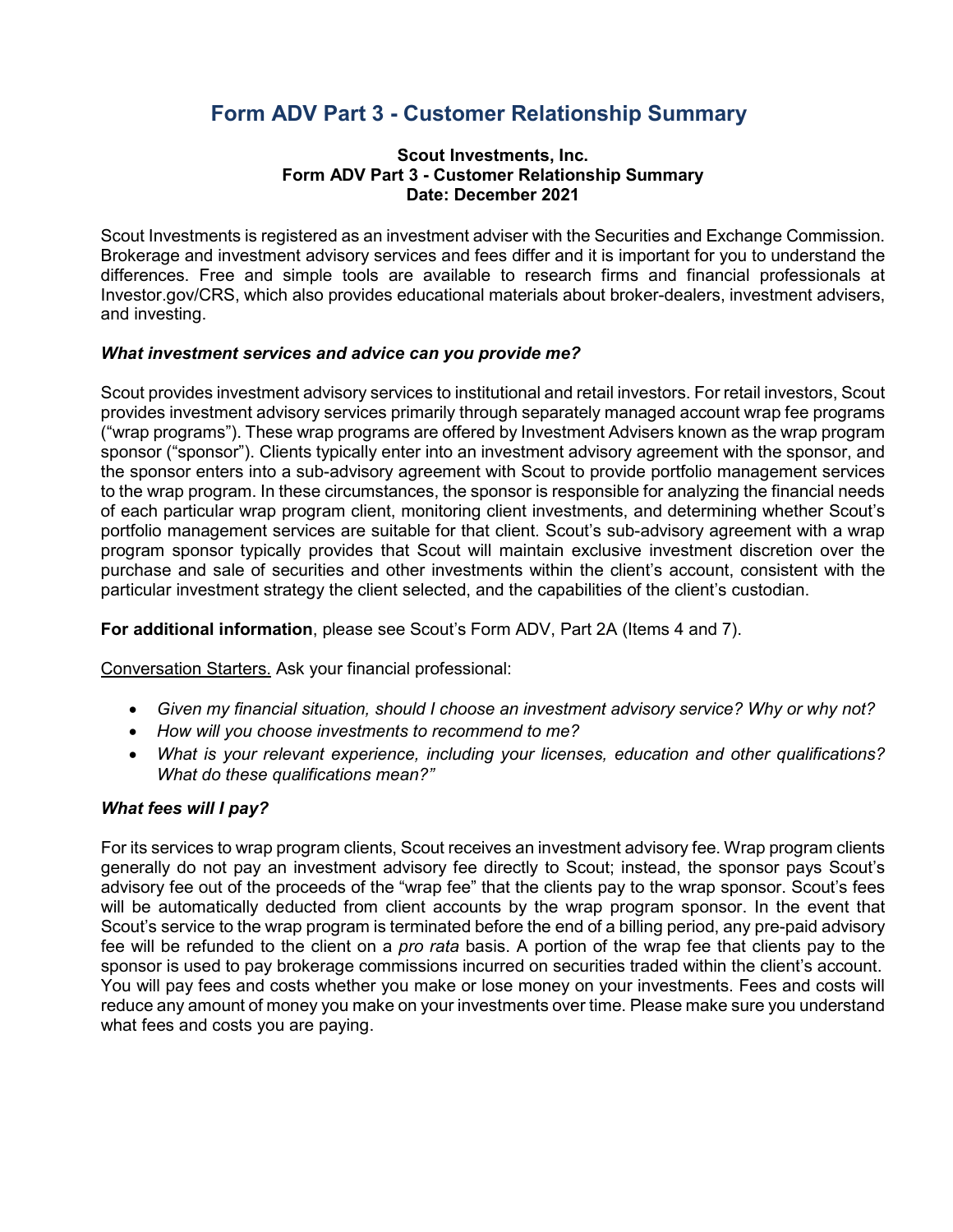# **Form ADV Part 3 - Customer Relationship Summary**

#### **Scout Investments, Inc. Form ADV Part 3 - Customer Relationship Summary Date: December 2021**

Scout Investments is registered as an investment adviser with the Securities and Exchange Commission. Brokerage and investment advisory services and fees differ and it is important for you to understand the differences. Free and simple tools are available to research firms and financial professionals at Investor.gov/CRS, which also provides educational materials about broker-dealers, investment advisers, and investing.

### *What investment services and advice can you provide me?*

Scout provides investment advisory services to institutional and retail investors. For retail investors, Scout provides investment advisory services primarily through separately managed account wrap fee programs ("wrap programs"). These wrap programs are offered by Investment Advisers known as the wrap program sponsor ("sponsor"). Clients typically enter into an investment advisory agreement with the sponsor, and the sponsor enters into a sub-advisory agreement with Scout to provide portfolio management services to the wrap program. In these circumstances, the sponsor is responsible for analyzing the financial needs of each particular wrap program client, monitoring client investments, and determining whether Scout's portfolio management services are suitable for that client. Scout's sub-advisory agreement with a wrap program sponsor typically provides that Scout will maintain exclusive investment discretion over the purchase and sale of securities and other investments within the client's account, consistent with the particular investment strategy the client selected, and the capabilities of the client's custodian.

**For additional information**, please see Scout's Form ADV, Part 2A (Items 4 and 7).

Conversation Starters. Ask your financial professional:

- *Given my financial situation, should I choose an investment advisory service? Why or why not?*
- *How will you choose investments to recommend to me?*
- *What is your relevant experience, including your licenses, education and other qualifications? What do these qualifications mean?"*

#### *What fees will I pay?*

For its services to wrap program clients, Scout receives an investment advisory fee. Wrap program clients generally do not pay an investment advisory fee directly to Scout; instead, the sponsor pays Scout's advisory fee out of the proceeds of the "wrap fee" that the clients pay to the wrap sponsor. Scout's fees will be automatically deducted from client accounts by the wrap program sponsor. In the event that Scout's service to the wrap program is terminated before the end of a billing period, any pre-paid advisory fee will be refunded to the client on a *pro rata* basis. A portion of the wrap fee that clients pay to the sponsor is used to pay brokerage commissions incurred on securities traded within the client's account. You will pay fees and costs whether you make or lose money on your investments. Fees and costs will reduce any amount of money you make on your investments over time. Please make sure you understand what fees and costs you are paying.